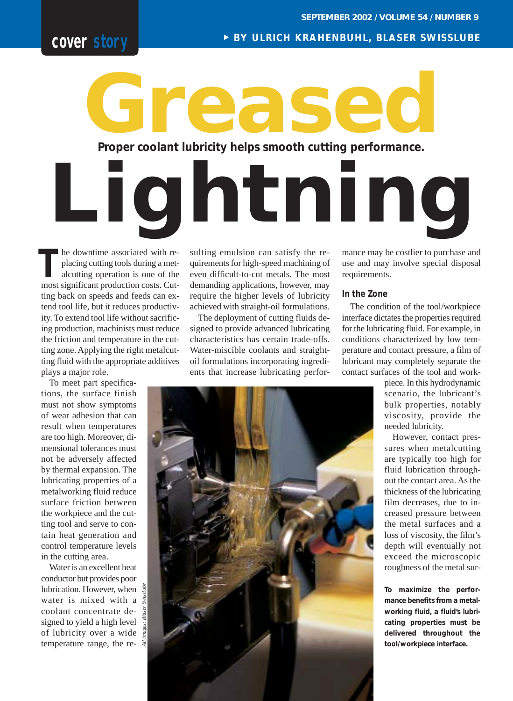# **cover story**

<sup>❿</sup> **BY ULRICH KRAHENBUHL, BLASER SWISSLUBE**

# **Proper coolant lubricity helps smooth cutting performance. Greased**

he downtime associated with replacing cutting tools during a metalcutting operation is one of the **The downtime associated with replacing cutting tools during a metalcutting operation is one of the most significant production costs. Cut**ting back on speeds and feeds can extend tool life, but it reduces productivity. To extend tool life without sacrificing production, machinists must reduce the friction and temperature in the cutting zone. Applying the right metalcutting fluid with the appropriate additives plays a major role.

To meet part specifications, the surface finish must not show symptoms of wear adhesion that can result when temperatures are too high. Moreover, dimensional tolerances must not be adversely affected by thermal expansion. The lubricating properties of a metalworking fluid reduce surface friction between the workpiece and the cutting tool and serve to contain heat generation and control temperature levels in the cutting area.

Water is an excellent heat conductor but provides poor lubrication. However, when  $\frac{3}{3}$ water is mixed with a coolant concentrate designed to yield a high level of lubricity over a wide temperature range, the resulting emulsion can satisfy the requirements for high-speed machining of even difficult-to-cut metals. The most demanding applications, however, may require the higher levels of lubricity achieved with straight-oil formulations.

**Lightning**

The deployment of cutting fluids designed to provide advanced lubricating characteristics has certain trade-offs. Water-miscible coolants and straightoil formulations incorporating ingredients that increase lubricating performance may be costlier to purchase and use and may involve special disposal requirements.

# **In the Zone**

The condition of the tool/workpiece interface dictates the properties required for the lubricating fluid. For example, in conditions characterized by low temperature and contact pressure, a film of lubricant may completely separate the contact surfaces of the tool and work-

> piece. In this hydrodynamic scenario, the lubricant's bulk properties, notably viscosity, provide the needed lubricity.

> However, contact pressures when metalcutting are typically too high for fluid lubrication throughout the contact area. As the thickness of the lubricating film decreases, due to increased pressure between the metal surfaces and a loss of viscosity, the film's depth will eventually not exceed the microscopic roughness of the metal sur-

> **To maximize the performance benefits from a metalworking fluid, a fluid's lubricating properties must be delivered throughout the tool/workpiece interface.**

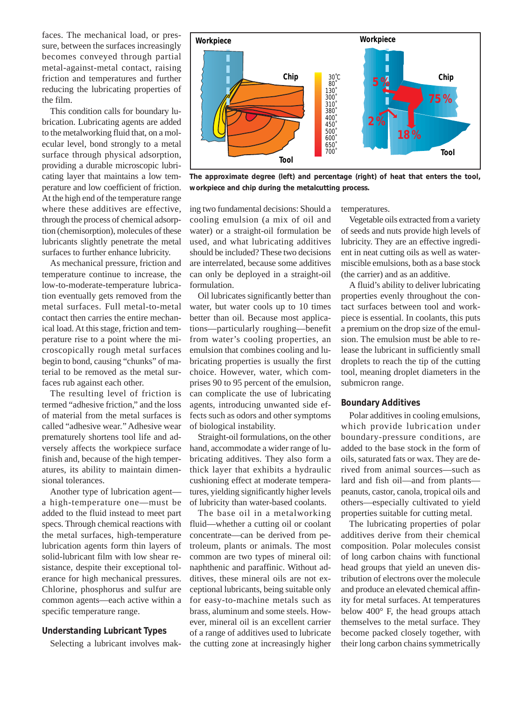faces. The mechanical load, or pressure, between the surfaces increasingly becomes conveyed through partial metal-against-metal contact, raising friction and temperatures and further reducing the lubricating properties of the film.

This condition calls for boundary lubrication. Lubricating agents are added to the metalworking fluid that, on a molecular level, bond strongly to a metal surface through physical adsorption, providing a durable microscopic lubricating layer that maintains a low temperature and low coefficient of friction. At the high end of the temperature range where these additives are effective, through the process of chemical adsorption (chemisorption), molecules of these lubricants slightly penetrate the metal surfaces to further enhance lubricity.

As mechanical pressure, friction and temperature continue to increase, the low-to-moderate-temperature lubrication eventually gets removed from the metal surfaces. Full metal-to-metal contact then carries the entire mechanical load. At this stage, friction and temperature rise to a point where the microscopically rough metal surfaces begin to bond, causing "chunks" of material to be removed as the metal surfaces rub against each other.

The resulting level of friction is termed "adhesive friction," and the loss of material from the metal surfaces is called "adhesive wear*.*" Adhesive wear prematurely shortens tool life and adversely affects the workpiece surface finish and, because of the high temperatures, its ability to maintain dimensional tolerances.

Another type of lubrication agent a high-temperature one—must be added to the fluid instead to meet part specs. Through chemical reactions with the metal surfaces, high-temperature lubrication agents form thin layers of solid-lubricant film with low shear resistance, despite their exceptional tolerance for high mechanical pressures. Chlorine, phosphorus and sulfur are common agents—each active within a specific temperature range.

# **Understanding Lubricant Types**

Selecting a lubricant involves mak-



**The approximate degree (left) and percentage (right) of heat that enters the tool, workpiece and chip during the metalcutting process.**

ing two fundamental decisions: Should a cooling emulsion (a mix of oil and water) or a straight-oil formulation be used, and what lubricating additives should be included? These two decisions are interrelated, because some additives can only be deployed in a straight-oil formulation.

Oil lubricates significantly better than water, but water cools up to 10 times better than oil. Because most applications—particularly roughing—benefit from water's cooling properties, an emulsion that combines cooling and lubricating properties is usually the first choice. However, water, which comprises 90 to 95 percent of the emulsion, can complicate the use of lubricating agents, introducing unwanted side effects such as odors and other symptoms of biological instability.

Straight-oil formulations, on the other hand, accommodate a wider range of lubricating additives. They also form a thick layer that exhibits a hydraulic cushioning effect at moderate temperatures, yielding significantly higher levels of lubricity than water-based coolants.

The base oil in a metalworking fluid—whether a cutting oil or coolant concentrate—can be derived from petroleum, plants or animals. The most common are two types of mineral oil: naphthenic and paraffinic. Without additives, these mineral oils are not exceptional lubricants, being suitable only for easy-to-machine metals such as brass, aluminum and some steels. However, mineral oil is an excellent carrier of a range of additives used to lubricate the cutting zone at increasingly higher

temperatures.

Vegetable oils extracted from a variety of seeds and nuts provide high levels of lubricity. They are an effective ingredient in neat cutting oils as well as watermiscible emulsions, both as a base stock (the carrier) and as an additive.

A fluid's ability to deliver lubricating properties evenly throughout the contact surfaces between tool and workpiece is essential. In coolants, this puts a premium on the drop size of the emulsion. The emulsion must be able to release the lubricant in sufficiently small droplets to reach the tip of the cutting tool, meaning droplet diameters in the submicron range.

#### **Boundary Additives**

Polar additives in cooling emulsions, which provide lubrication under boundary-pressure conditions, are added to the base stock in the form of oils, saturated fats or wax. They are derived from animal sources—such as lard and fish oil—and from plants peanuts, castor, canola, tropical oils and others—especially cultivated to yield properties suitable for cutting metal.

The lubricating properties of polar additives derive from their chemical composition. Polar molecules consist of long carbon chains with functional head groups that yield an uneven distribution of electrons over the molecule and produce an elevated chemical affinity for metal surfaces. At temperatures below 400° F, the head groups attach themselves to the metal surface. They become packed closely together, with their long carbon chains symmetrically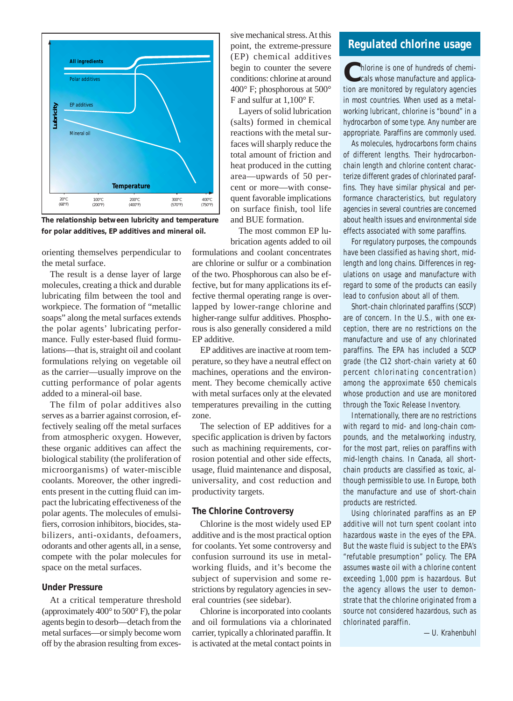

**The relationship between lubricity and temperature for polar additives, EP additives and mineral oil.**

orienting themselves perpendicular to the metal surface.

The result is a dense layer of large molecules, creating a thick and durable lubricating film between the tool and workpiece. The formation of "metallic soaps" along the metal surfaces extends the polar agents' lubricating performance. Fully ester-based fluid formulations—that is, straight oil and coolant formulations relying on vegetable oil as the carrier—usually improve on the cutting performance of polar agents added to a mineral-oil base.

The film of polar additives also serves as a barrier against corrosion, effectively sealing off the metal surfaces from atmospheric oxygen. However, these organic additives can affect the biological stability (the proliferation of microorganisms) of water-miscible coolants. Moreover, the other ingredients present in the cutting fluid can impact the lubricating effectiveness of the polar agents. The molecules of emulsifiers, corrosion inhibitors, biocides, stabilizers, anti-oxidants, defoamers, odorants and other agents all, in a sense, compete with the polar molecules for space on the metal surfaces.

# **Under Pressure**

At a critical temperature threshold (approximately 400° to 500° F), the polar agents begin to desorb—detach from the metal surfaces—or simply become worn off by the abrasion resulting from excessive mechanical stress. At this point, the extreme-pressure (EP) chemical additives begin to counter the severe conditions: chlorine at around 400° F; phosphorous at 500° F and sulfur at 1,100° F.

Layers of solid lubrication (salts) formed in chemical reactions with the metal surfaces will sharply reduce the total amount of friction and heat produced in the cutting area—upwards of 50 percent or more—with consequent favorable implications on surface finish, tool life and BUE formation.

The most common EP lubrication agents added to oil

formulations and coolant concentrates are chlorine or sulfur or a combination of the two. Phosphorous can also be effective, but for many applications its effective thermal operating range is overlapped by lower-range chlorine and higher-range sulfur additives. Phosphorous is also generally considered a mild EP additive.

EP additives are inactive at room temperature, so they have a neutral effect on machines, operations and the environment. They become chemically active with metal surfaces only at the elevated temperatures prevailing in the cutting zone.

The selection of EP additives for a specific application is driven by factors such as machining requirements, corrosion potential and other side effects, usage, fluid maintenance and disposal, universality, and cost reduction and productivity targets.

#### **The Chlorine Controversy**

Chlorine is the most widely used EP additive and is the most practical option for coolants. Yet some controversy and confusion surround its use in metalworking fluids, and it's become the subject of supervision and some restrictions by regulatory agencies in several countries (see sidebar).

Chlorine is incorporated into coolants and oil formulations via a chlorinated carrier, typically a chlorinated paraffin. It is activated at the metal contact points in

# **Regulated chlorine usage**

Chlorine is one of hundreds of chemi-<br>
cals whose manufacture and application are monitored by regulatory agencies in most countries. When used as a metalworking lubricant, chlorine is "bound" in a hydrocarbon of some type. Any number are appropriate. Paraffins are commonly used.

As molecules, hydrocarbons form chains of different lengths. Their hydrocarbonchain length and chlorine content characterize different grades of chlorinated paraffins. They have similar physical and performance characteristics, but regulatory agencies in several countries are concerned about health issues and environmental side effects associated with some paraffins.

For regulatory purposes, the compounds have been classified as having short, midlength and long chains. Differences in regulations on usage and manufacture with regard to some of the products can easily lead to confusion about all of them.

Short-chain chlorinated paraffins (SCCP) are of concern. In the U.S., with one exception, there are no restrictions on the manufacture and use of any chlorinated paraffins. The EPA has included a SCCP grade (the C12 short-chain variety at 60 percent chlorinating concentration) among the approximate 650 chemicals whose production and use are monitored through the Toxic Release Inventory.

Internationally, there are no restrictions with regard to mid- and long-chain compounds, and the metalworking industry, for the most part, relies on paraffins with mid-length chains. In Canada, all shortchain products are classified as toxic, although permissible to use. In Europe, both the manufacture and use of short-chain products are restricted.

Using chlorinated paraffins as an EP additive will not turn spent coolant into hazardous waste in the eyes of the EPA. But the waste fluid is subject to the EPA's "refutable presumption" policy. The EPA assumes waste oil with a chlorine content exceeding 1,000 ppm is hazardous. But the agency allows the user to demonstrate that the chlorine originated from a source not considered hazardous, such as chlorinated paraffin.

*—U. Krahenbuhl*